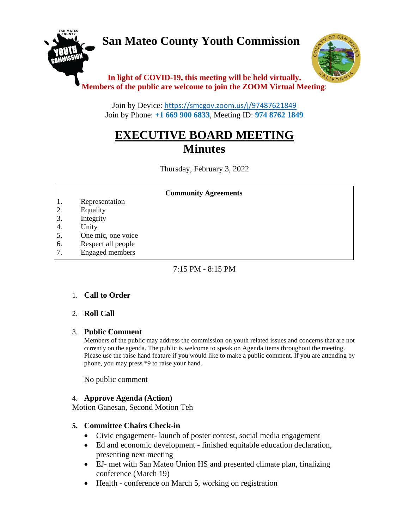# **San Mateo County Youth Commission**



### **In light of COVID-19, this meeting will be held virtually. Members of the public are welcome to join the ZOOM Virtual Meeting**:

Join by Device: <https://smcgov.zoom.us/j/97487621849> Join by Phone: **+1 669 900 6833**, Meeting ID: **974 8762 1849**

## **EXECUTIVE BOARD MEETING Minutes**

Thursday, February 3, 2022

#### **Community Agreements**

- 1. Representation
- 2. Equality
- 3. Integrity
- 4. Unity
- 5. One mic, one voice
- 6. Respect all people
- 7. Engaged members

8. Leadership and empowerment

#### $7:15$  PM  $-8:15$  PM

#### 1. **Call to Order**

#### 2. **Roll Call**  $15.5\,$  Commitment to policies that foster diversity, and inclusion  $\alpha$

#### 3. **Public Comment**

Members of the public may address the commission on youth related issues and concerns that are not currently on the agenda. The public is welcome to speak on Agenda items throughout the meeting. Please use the raise hand feature if you would like to make a public comment. If you are attending by phone, you may press \*9 to raise your hand.

No public comment

#### 4. **Approve Agenda (Action)**

Motion Ganesan, Second Motion Teh

#### **5. Committee Chairs Check-in**

- Civic engagement- launch of poster contest, social media engagement
- Ed and economic development finished equitable education declaration, presenting next meeting
- EJ- met with San Mateo Union HS and presented climate plan, finalizing conference (March 19)
- Health conference on March 5, working on registration